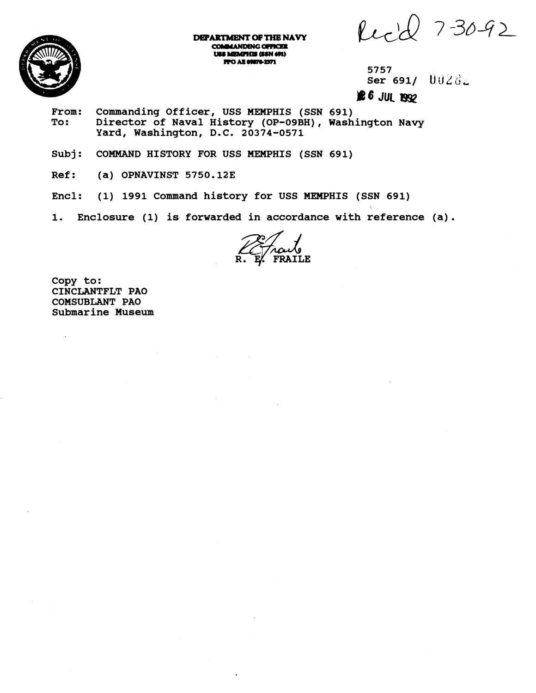Red 7-30-92



DEPARTMENT OF THE NAVY **COMMANDING OFFICER** USS MEMPHIS (SSN 691) **FFO AE 09878-2371** 

**5757**  Ser 691/ **UUZ8** 

 $26$  JUL 1992

- From: Commanding Officer, USS MEMPHIS (SSN 691)<br>To: Director of Naval History (OP-09BH), Wash **To: Director of Naval History (OP-OSBH), Washington Navy Yard, Washington, D.C. 20374-0571**
- **Subj: COMMAND HISTORY FOR USS MEMPHIS (SSN 691)**
- **Ref: (a) OPNAVINST 5750.123**
- **Encl: (1) 1991 Command history for USS MEMPHIS (SSN 691)**
- **1. Enclosure (1) is forwarded in accordance with reference (a).**

**Copy to: CINCLANTFLT PA0 COMSUBLANT PA0 Submarine Museum** 

 $\overline{a}$